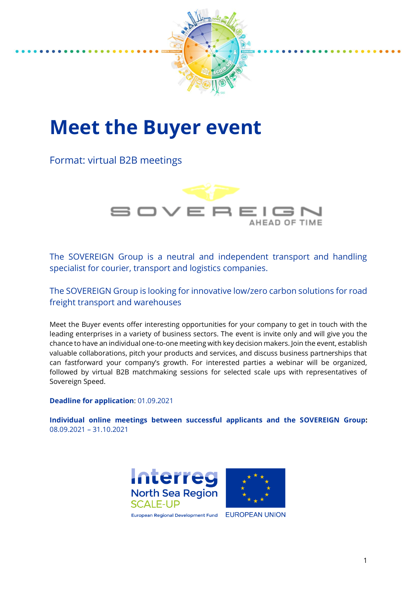

# **Meet the Buyer event**

Format: virtual B2B meetings



The SOVEREIGN Group is a neutral and independent transport and handling specialist for courier, transport and logistics companies.

The SOVEREIGN Group is looking for innovative low/zero carbon solutions for road freight transport and warehouses

Meet the Buyer events offer interesting opportunities for your company to get in touch with the leading enterprises in a variety of business sectors. The event is invite only and will give you the chance to have an individual one-to-one meeting with key decision makers. Join the event, establish valuable collaborations, pitch your products and services, and discuss business partnerships that can fastforward your company's growth. For interested parties a webinar will be organized, followed by virtual B2B matchmaking sessions for selected scale ups with representatives of Sovereign Speed.

**Deadline for application**: 01.09.2021

**Individual online meetings between successful applicants and the SOVEREIGN Group:** 08.09.2021 – 31.10.2021



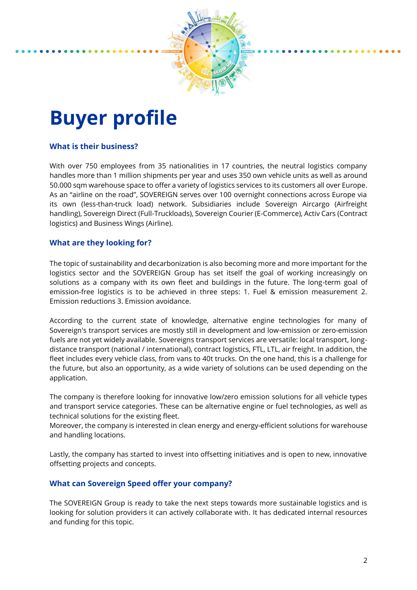

# **Buyer profile**

## **What is their business?**

With over 750 employees from 35 nationalities in 17 countries, the neutral logistics company handles more than 1 million shipments per year and uses 350 own vehicle units as well as around 50.000 sqm warehouse space to offer a variety of logistics services to its customers all over Europe. As an "airline on the road", SOVEREIGN serves over 100 overnight connections across Europe via its own (less-than-truck load) network. Subsidiaries include Sovereign Aircargo (Airfreight handling), Sovereign Direct (Full-Truckloads), Sovereign Courier (E-Commerce), Activ Cars (Contract logistics) and Business Wings (Airline).

#### **What are they looking for?**

The topic of sustainability and decarbonization is also becoming more and more important for the logistics sector and the SOVEREIGN Group has set itself the goal of working increasingly on solutions as a company with its own fleet and buildings in the future. The long-term goal of emission-free logistics is to be achieved in three steps: 1. Fuel & emission measurement 2. Emission reductions 3. Emission avoidance.

According to the current state of knowledge, alternative engine technologies for many of Sovereign's transport services are mostly still in development and low-emission or zero-emission fuels are not yet widely available. Sovereigns transport services are versatile: local transport, longdistance transport (national / international), contract logistics, FTL, LTL, air freight. In addition, the fleet includes every vehicle class, from vans to 40t trucks. On the one hand, this is a challenge for the future, but also an opportunity, as a wide variety of solutions can be used depending on the application.

The company is therefore looking for innovative low/zero emission solutions for all vehicle types and transport service categories. These can be alternative engine or fuel technologies, as well as technical solutions for the existing fleet.

Moreover, the company is interested in clean energy and energy-efficient solutions for warehouse and handling locations.

Lastly, the company has started to invest into offsetting initiatives and is open to new, innovative offsetting projects and concepts.

#### **What can Sovereign Speed offer your company?**

The SOVEREIGN Group is ready to take the next steps towards more sustainable logistics and is looking for solution providers it can actively collaborate with. It has dedicated internal resources and funding for this topic.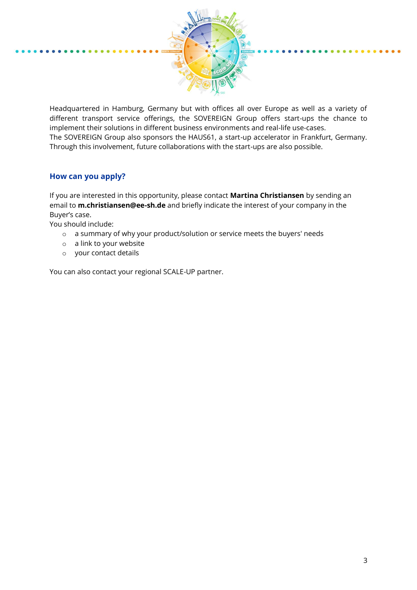

Headquartered in Hamburg, Germany but with offices all over Europe as well as a variety of different transport service offerings, the SOVEREIGN Group offers start-ups the chance to implement their solutions in different business environments and real-life use-cases. The SOVEREIGN Group also sponsors the HAUS61, a start-up accelerator in Frankfurt, Germany. Through this involvement, future collaborations with the start-ups are also possible.

### **How can you apply?**

If you are interested in this opportunity, please contact **Martina Christiansen** by sending an email to **m.christiansen@ee-sh.de** and briefly indicate the interest of your company in the Buyer's case.

You should include:

- o a summary of why your product/solution or service meets the buyers' needs
- o a link to your website
- o your contact details

You can also contact your regional SCALE-UP partner.